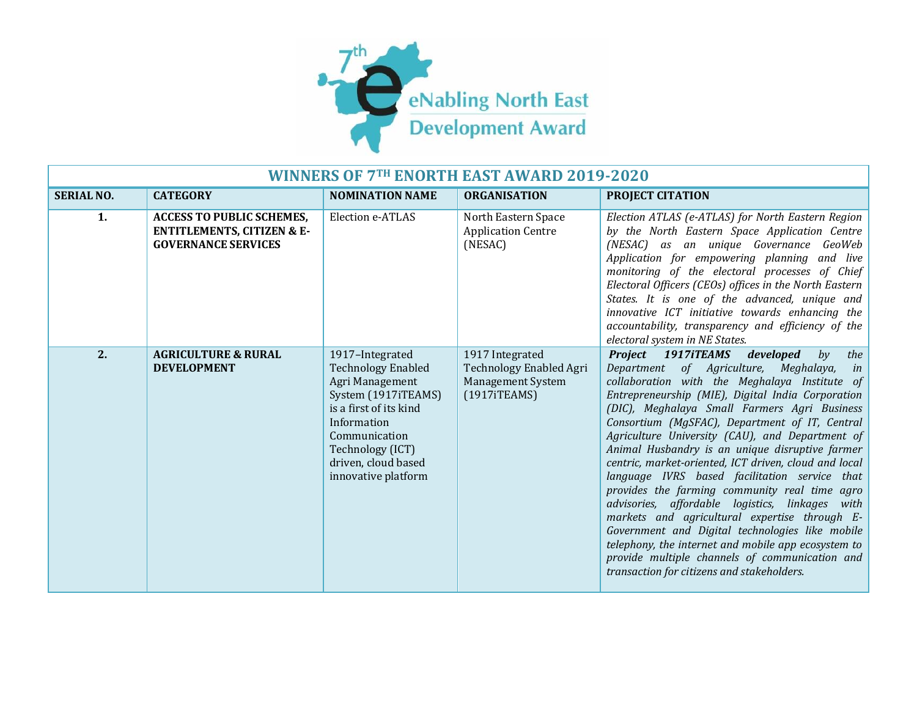

| <b>WINNERS OF 7TH ENORTH EAST AWARD 2019-2020</b> |                                                                                                         |                                                                                                                                                                                                                    |                                                                                        |                                                                                                                                                                                                                                                                                                                                                                                                                                                                                                                                                                                                                                                                                                                                                                                                                                                                                    |  |
|---------------------------------------------------|---------------------------------------------------------------------------------------------------------|--------------------------------------------------------------------------------------------------------------------------------------------------------------------------------------------------------------------|----------------------------------------------------------------------------------------|------------------------------------------------------------------------------------------------------------------------------------------------------------------------------------------------------------------------------------------------------------------------------------------------------------------------------------------------------------------------------------------------------------------------------------------------------------------------------------------------------------------------------------------------------------------------------------------------------------------------------------------------------------------------------------------------------------------------------------------------------------------------------------------------------------------------------------------------------------------------------------|--|
| <b>SERIAL NO.</b>                                 | <b>CATEGORY</b>                                                                                         | <b>NOMINATION NAME</b>                                                                                                                                                                                             | <b>ORGANISATION</b>                                                                    | PROJECT CITATION                                                                                                                                                                                                                                                                                                                                                                                                                                                                                                                                                                                                                                                                                                                                                                                                                                                                   |  |
| 1.                                                | <b>ACCESS TO PUBLIC SCHEMES,</b><br><b>ENTITLEMENTS, CITIZEN &amp; E-</b><br><b>GOVERNANCE SERVICES</b> | Election e-ATLAS                                                                                                                                                                                                   | North Eastern Space<br><b>Application Centre</b><br>(NESAC)                            | Election ATLAS (e-ATLAS) for North Eastern Region<br>by the North Eastern Space Application Centre<br>(NESAC) as an unique Governance GeoWeb<br>Application for empowering planning and live<br>monitoring of the electoral processes of Chief<br>Electoral Officers (CEOs) offices in the North Eastern<br>States. It is one of the advanced, unique and<br>innovative ICT initiative towards enhancing the<br>accountability, transparency and efficiency of the<br>electoral system in NE States.                                                                                                                                                                                                                                                                                                                                                                               |  |
| $\overline{2}$ .                                  | <b>AGRICULTURE &amp; RURAL</b><br><b>DEVELOPMENT</b>                                                    | 1917-Integrated<br><b>Technology Enabled</b><br>Agri Management<br>System (1917iTEAMS)<br>is a first of its kind<br>Information<br>Communication<br>Technology (ICT)<br>driven, cloud based<br>innovative platform | 1917 Integrated<br>Technology Enabled Agri<br><b>Management System</b><br>(1917iTEAMS) | Project 1917iTEAMS<br>developed<br>by<br>the<br>Department of Agriculture, Meghalaya,<br>in<br>collaboration with the Meghalaya Institute of<br>Entrepreneurship (MIE), Digital India Corporation<br>(DIC), Meghalaya Small Farmers Agri Business<br>Consortium (MgSFAC), Department of IT, Central<br>Agriculture University (CAU), and Department of<br>Animal Husbandry is an unique disruptive farmer<br>centric, market-oriented, ICT driven, cloud and local<br>language IVRS based facilitation service that<br>provides the farming community real time agro<br>advisories, affordable logistics, linkages with<br>markets and agricultural expertise through E-<br>Government and Digital technologies like mobile<br>telephony, the internet and mobile app ecosystem to<br>provide multiple channels of communication and<br>transaction for citizens and stakeholders. |  |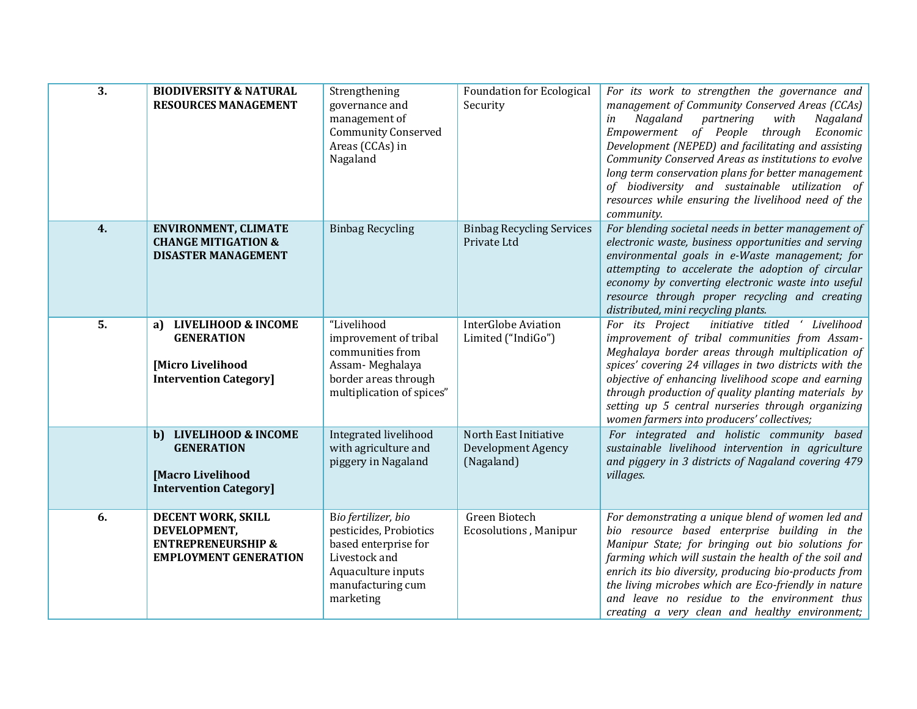| 3. | <b>BIODIVERSITY &amp; NATURAL</b><br><b>RESOURCES MANAGEMENT</b>                                    | Strengthening<br>governance and<br>management of<br><b>Community Conserved</b><br>Areas (CCAs) in<br>Nagaland                                  | <b>Foundation for Ecological</b><br>Security                     | For its work to strengthen the governance and<br>management of Community Conserved Areas (CCAs)<br>Nagaland<br>with<br>partnering<br>Nagaland<br>in<br>Empowerment of People through<br>Economic<br>Development (NEPED) and facilitating and assisting<br>Community Conserved Areas as institutions to evolve<br>long term conservation plans for better management<br>of biodiversity and sustainable utilization of<br>resources while ensuring the livelihood need of the<br>community. |
|----|-----------------------------------------------------------------------------------------------------|------------------------------------------------------------------------------------------------------------------------------------------------|------------------------------------------------------------------|--------------------------------------------------------------------------------------------------------------------------------------------------------------------------------------------------------------------------------------------------------------------------------------------------------------------------------------------------------------------------------------------------------------------------------------------------------------------------------------------|
| 4. | <b>ENVIRONMENT, CLIMATE</b><br><b>CHANGE MITIGATION &amp;</b><br><b>DISASTER MANAGEMENT</b>         | <b>Binbag Recycling</b>                                                                                                                        | <b>Binbag Recycling Services</b><br>Private Ltd                  | For blending societal needs in better management of<br>electronic waste, business opportunities and serving<br>environmental goals in e-Waste management; for<br>attempting to accelerate the adoption of circular<br>economy by converting electronic waste into useful<br>resource through proper recycling and creating<br>distributed, mini recycling plants.                                                                                                                          |
| 5. | a) LIVELIHOOD & INCOME<br><b>GENERATION</b><br>[Micro Livelihood<br><b>Intervention Category]</b>   | "Livelihood<br>improvement of tribal<br>communities from<br>Assam-Meghalaya<br>border areas through<br>multiplication of spices"               | <b>InterGlobe Aviation</b><br>Limited ("IndiGo")                 | initiative titled ' Livelihood<br>For its Project<br>improvement of tribal communities from Assam-<br>Meghalaya border areas through multiplication of<br>spices' covering 24 villages in two districts with the<br>objective of enhancing livelihood scope and earning<br>through production of quality planting materials by<br>setting up 5 central nurseries through organizing<br>women farmers into producers' collectives;                                                          |
|    | b) LIVELIHOOD & INCOME<br><b>GENERATION</b><br>[Macro Livelihood<br><b>Intervention Category]</b>   | Integrated livelihood<br>with agriculture and<br>piggery in Nagaland                                                                           | North East Initiative<br><b>Development Agency</b><br>(Nagaland) | For integrated and holistic community based<br>sustainable livelihood intervention in agriculture<br>and piggery in 3 districts of Nagaland covering 479<br>villages.                                                                                                                                                                                                                                                                                                                      |
| 6. | DECENT WORK, SKILL<br>DEVELOPMENT,<br><b>ENTREPRENEURSHIP &amp;</b><br><b>EMPLOYMENT GENERATION</b> | Bio fertilizer, bio<br>pesticides, Probiotics<br>based enterprise for<br>Livestock and<br>Aquaculture inputs<br>manufacturing cum<br>marketing | Green Biotech<br><b>Ecosolutions, Manipur</b>                    | For demonstrating a unique blend of women led and<br>bio resource based enterprise building in the<br>Manipur State; for bringing out bio solutions for<br>farming which will sustain the health of the soil and<br>enrich its bio diversity, producing bio-products from<br>the living microbes which are Eco-friendly in nature<br>and leave no residue to the environment thus<br>creating a very clean and healthy environment;                                                        |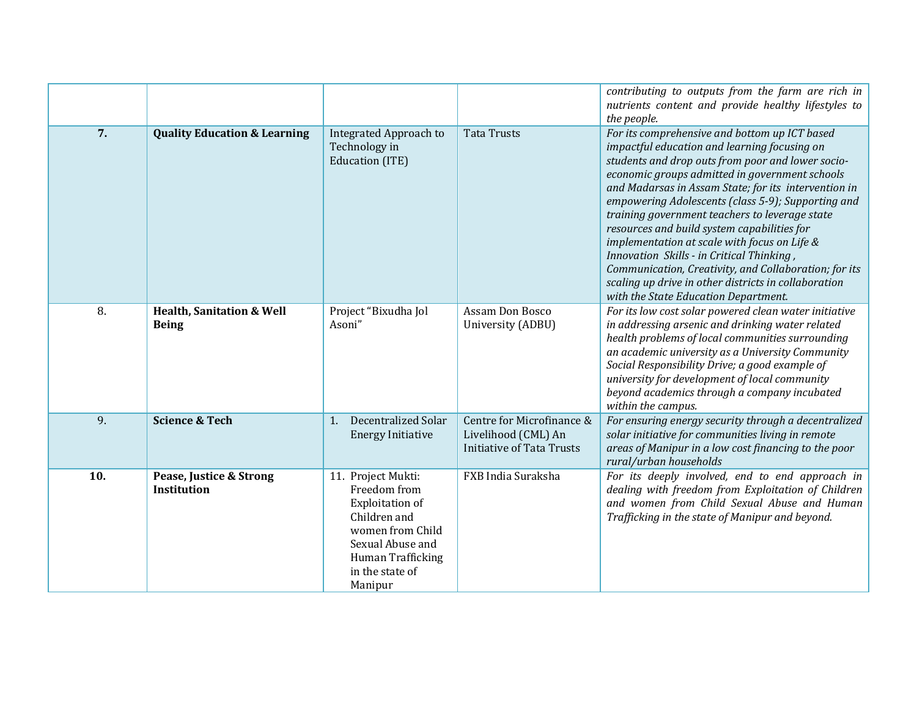|     |                                                      |                                                                                                                                                                         |                                                                                      | contributing to outputs from the farm are rich in<br>nutrients content and provide healthy lifestyles to<br>the people.                                                                                                                                                                                                                                                                                                                                                                                                                                                                                                                                                   |
|-----|------------------------------------------------------|-------------------------------------------------------------------------------------------------------------------------------------------------------------------------|--------------------------------------------------------------------------------------|---------------------------------------------------------------------------------------------------------------------------------------------------------------------------------------------------------------------------------------------------------------------------------------------------------------------------------------------------------------------------------------------------------------------------------------------------------------------------------------------------------------------------------------------------------------------------------------------------------------------------------------------------------------------------|
| 7.  | <b>Quality Education &amp; Learning</b>              | Integrated Approach to<br>Technology in<br>Education (ITE)                                                                                                              | <b>Tata Trusts</b>                                                                   | For its comprehensive and bottom up ICT based<br>impactful education and learning focusing on<br>students and drop outs from poor and lower socio-<br>economic groups admitted in government schools<br>and Madarsas in Assam State; for its intervention in<br>empowering Adolescents (class 5-9); Supporting and<br>training government teachers to leverage state<br>resources and build system capabilities for<br>implementation at scale with focus on Life &<br>Innovation Skills - in Critical Thinking,<br>Communication, Creativity, and Collaboration; for its<br>scaling up drive in other districts in collaboration<br>with the State Education Department. |
| 8.  | <b>Health, Sanitation &amp; Well</b><br><b>Being</b> | Project "Bixudha Jol<br>Asoni"                                                                                                                                          | Assam Don Bosco<br>University (ADBU)                                                 | For its low cost solar powered clean water initiative<br>in addressing arsenic and drinking water related<br>health problems of local communities surrounding<br>an academic university as a University Community<br>Social Responsibility Drive; a good example of<br>university for development of local community<br>beyond academics through a company incubated<br>within the campus.                                                                                                                                                                                                                                                                                |
| 9.  | <b>Science &amp; Tech</b>                            | Decentralized Solar<br>1.<br><b>Energy Initiative</b>                                                                                                                   | Centre for Microfinance &<br>Livelihood (CML) An<br><b>Initiative of Tata Trusts</b> | For ensuring energy security through a decentralized<br>solar initiative for communities living in remote<br>areas of Manipur in a low cost financing to the poor<br>rural/urban households                                                                                                                                                                                                                                                                                                                                                                                                                                                                               |
| 10. | Pease, Justice & Strong<br><b>Institution</b>        | 11. Project Mukti:<br>Freedom from<br><b>Exploitation of</b><br>Children and<br>women from Child<br>Sexual Abuse and<br>Human Trafficking<br>in the state of<br>Manipur | FXB India Suraksha                                                                   | For its deeply involved, end to end approach in<br>dealing with freedom from Exploitation of Children<br>and women from Child Sexual Abuse and Human<br>Trafficking in the state of Manipur and beyond.                                                                                                                                                                                                                                                                                                                                                                                                                                                                   |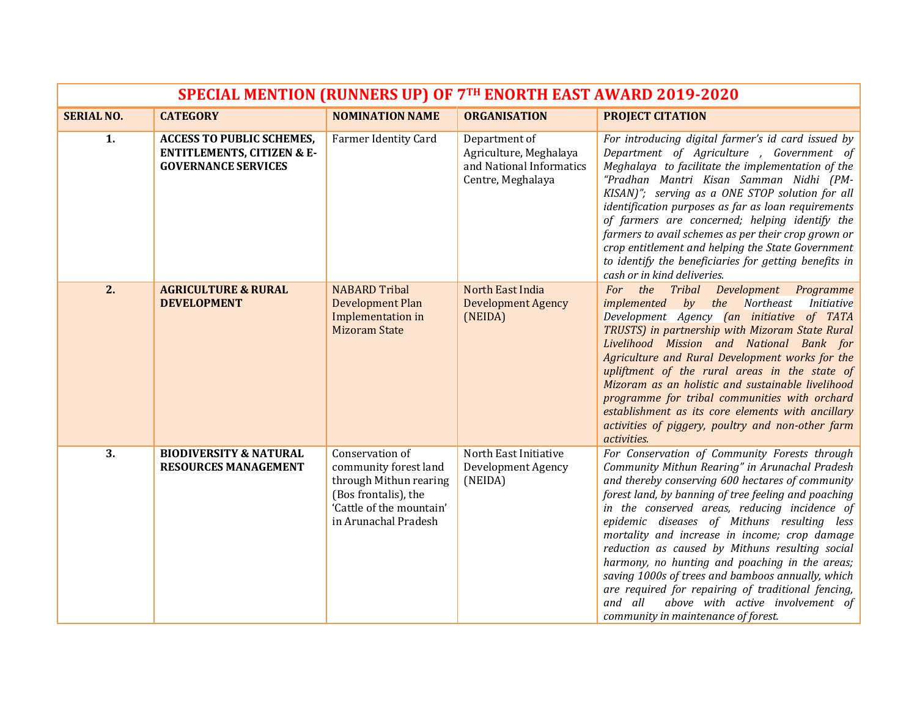| SPECIAL MENTION (RUNNERS UP) OF 7TH ENORTH EAST AWARD 2019-2020 |                                                                                                         |                                                                                                                                                |                                                                                          |                                                                                                                                                                                                                                                                                                                                                                                                                                                                                                                                                                                                                                                                    |
|-----------------------------------------------------------------|---------------------------------------------------------------------------------------------------------|------------------------------------------------------------------------------------------------------------------------------------------------|------------------------------------------------------------------------------------------|--------------------------------------------------------------------------------------------------------------------------------------------------------------------------------------------------------------------------------------------------------------------------------------------------------------------------------------------------------------------------------------------------------------------------------------------------------------------------------------------------------------------------------------------------------------------------------------------------------------------------------------------------------------------|
| <b>SERIAL NO.</b>                                               | <b>CATEGORY</b>                                                                                         | <b>NOMINATION NAME</b>                                                                                                                         | <b>ORGANISATION</b>                                                                      | <b>PROJECT CITATION</b>                                                                                                                                                                                                                                                                                                                                                                                                                                                                                                                                                                                                                                            |
| 1.                                                              | <b>ACCESS TO PUBLIC SCHEMES,</b><br><b>ENTITLEMENTS, CITIZEN &amp; E-</b><br><b>GOVERNANCE SERVICES</b> | Farmer Identity Card                                                                                                                           | Department of<br>Agriculture, Meghalaya<br>and National Informatics<br>Centre, Meghalaya | For introducing digital farmer's id card issued by<br>Department of Agriculture, Government of<br>Meghalaya to facilitate the implementation of the<br>"Pradhan Mantri Kisan Samman Nidhi (PM-<br>KISAN)"; serving as a ONE STOP solution for all<br>identification purposes as far as loan requirements<br>of farmers are concerned; helping identify the<br>farmers to avail schemes as per their crop grown or<br>crop entitlement and helping the State Government<br>to identify the beneficiaries for getting benefits in<br>cash or in kind deliveries.                                                                                                     |
| 2.                                                              | <b>AGRICULTURE &amp; RURAL</b><br><b>DEVELOPMENT</b>                                                    | <b>NABARD Tribal</b><br><b>Development Plan</b><br>Implementation in<br><b>Mizoram State</b>                                                   | North East India<br><b>Development Agency</b><br>(NEIDA)                                 | the Tribal<br>Development Programme<br><i>For</i><br>by the Northeast<br><i>Initiative</i><br>implemented<br>Development Agency <i>(an initiative of TATA</i><br>TRUSTS) in partnership with Mizoram State Rural<br>Livelihood Mission and National Bank for<br>Agriculture and Rural Development works for the<br>upliftment of the rural areas in the state of<br>Mizoram as an holistic and sustainable livelihood<br>programme for tribal communities with orchard<br>establishment as its core elements with ancillary<br>activities of piggery, poultry and non-other farm<br>activities.                                                                    |
| 3.                                                              | <b>BIODIVERSITY &amp; NATURAL</b><br><b>RESOURCES MANAGEMENT</b>                                        | Conservation of<br>community forest land<br>through Mithun rearing<br>(Bos frontalis), the<br>'Cattle of the mountain'<br>in Arunachal Pradesh | North East Initiative<br>Development Agency<br>(NEIDA)                                   | For Conservation of Community Forests through<br>Community Mithun Rearing" in Arunachal Pradesh<br>and thereby conserving 600 hectares of community<br>forest land, by banning of tree feeling and poaching<br>in the conserved areas, reducing incidence of<br>epidemic diseases of Mithuns resulting less<br>mortality and increase in income; crop damage<br>reduction as caused by Mithuns resulting social<br>harmony, no hunting and poaching in the areas;<br>saving 1000s of trees and bamboos annually, which<br>are required for repairing of traditional fencing,<br>above with active involvement of<br>and all<br>community in maintenance of forest. |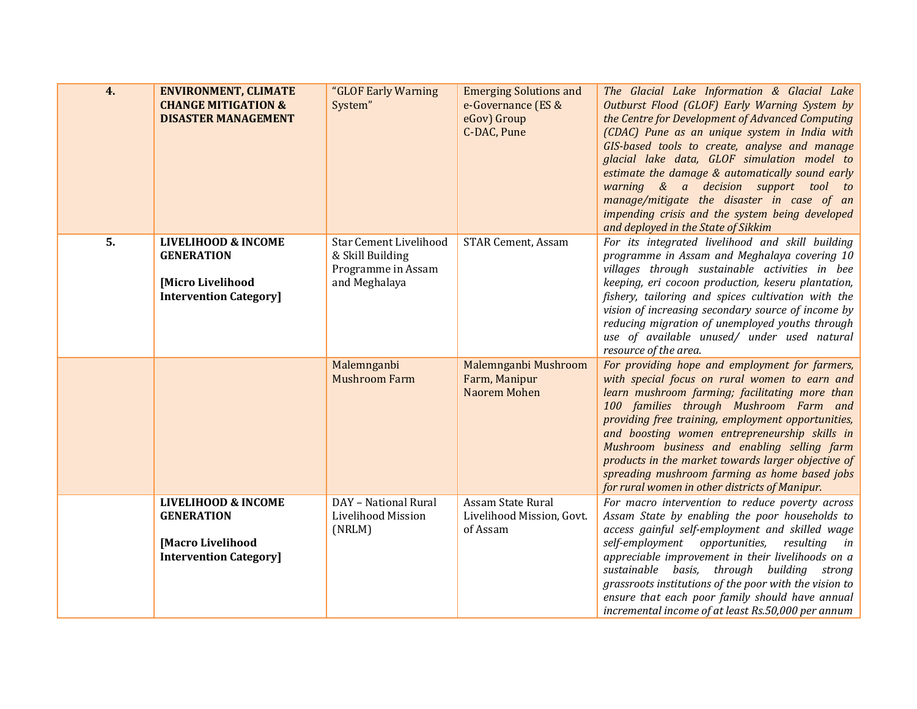| 4. | <b>ENVIRONMENT, CLIMATE</b><br><b>CHANGE MITIGATION &amp;</b><br><b>DISASTER MANAGEMENT</b>                    | "GLOF Early Warning<br>System"                                                           | <b>Emerging Solutions and</b><br>e-Governance (ES &<br>eGov) Group<br>C-DAC, Pune | The Glacial Lake Information & Glacial Lake<br>Outburst Flood (GLOF) Early Warning System by<br>the Centre for Development of Advanced Computing<br>(CDAC) Pune as an unique system in India with<br>GIS-based tools to create, analyse and manage<br>glacial lake data, GLOF simulation model to<br>estimate the damage & automatically sound early<br>warning & a decision support tool to<br>manage/mitigate the disaster in case of an<br>impending crisis and the system being developed<br>and deployed in the State of Sikkim |
|----|----------------------------------------------------------------------------------------------------------------|------------------------------------------------------------------------------------------|-----------------------------------------------------------------------------------|--------------------------------------------------------------------------------------------------------------------------------------------------------------------------------------------------------------------------------------------------------------------------------------------------------------------------------------------------------------------------------------------------------------------------------------------------------------------------------------------------------------------------------------|
| 5. | <b>LIVELIHOOD &amp; INCOME</b><br><b>GENERATION</b><br>[Micro Livelihood<br><b>Intervention Category</b>       | <b>Star Cement Livelihood</b><br>& Skill Building<br>Programme in Assam<br>and Meghalaya | <b>STAR Cement, Assam</b>                                                         | For its integrated livelihood and skill building<br>programme in Assam and Meghalaya covering 10<br>villages through sustainable activities in bee<br>keeping, eri cocoon production, keseru plantation,<br>fishery, tailoring and spices cultivation with the<br>vision of increasing secondary source of income by<br>reducing migration of unemployed youths through<br>use of available unused/ under used natural<br>resource of the area.                                                                                      |
|    |                                                                                                                | Malemnganbi<br><b>Mushroom Farm</b>                                                      | Malemnganbi Mushroom<br>Farm, Manipur<br>Naorem Mohen                             | For providing hope and employment for farmers,<br>with special focus on rural women to earn and<br>learn mushroom farming; facilitating more than<br>100 families through Mushroom Farm and<br>providing free training, employment opportunities,<br>and boosting women entrepreneurship skills in<br>Mushroom business and enabling selling farm<br>products in the market towards larger objective of<br>spreading mushroom farming as home based jobs<br>for rural women in other districts of Manipur.                           |
|    | <b>LIVELIHOOD &amp; INCOME</b><br><b>GENERATION</b><br><b>Macro Livelihood</b><br><b>Intervention Category</b> | DAY - National Rural<br>Livelihood Mission<br>(NRLM)                                     | Assam State Rural<br>Livelihood Mission, Govt.<br>of Assam                        | For macro intervention to reduce poverty across<br>Assam State by enabling the poor households to<br>access gainful self-employment and skilled wage<br>self-employment opportunities, resulting<br>in<br>appreciable improvement in their livelihoods on a<br>sustainable basis, through building strong<br>grassroots institutions of the poor with the vision to<br>ensure that each poor family should have annual<br>incremental income of at least Rs.50,000 per annum                                                         |